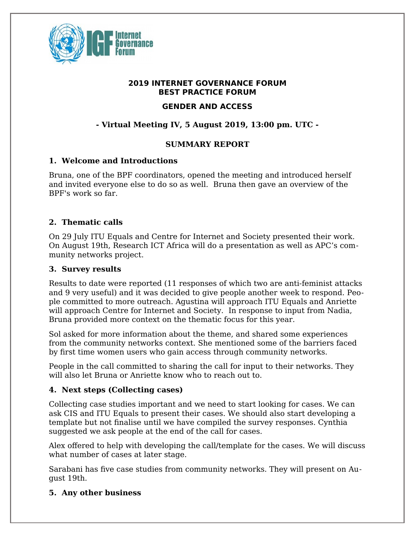

### **2019 INTERNET GOVERNANCE FORUM BEST PRACTICE FORUM**

## **GENDER AND ACCESS**

# **- Virtual Meeting IV, 5 August 2019, 13:00 pm. UTC -**

### **SUMMARY REPORT**

#### **1. Welcome and Introductions**

Bruna, one of the BPF coordinators, opened the meeting and introduced herself and invited everyone else to do so as well. Bruna then gave an overview of the BPF's work so far.

### **2. Thematic calls**

On 29 July ITU Equals and Centre for Internet and Society presented their work. On August 19th, Research ICT Africa will do a presentation as well as APC's community networks project.

#### **3. Survey results**

Results to date were reported (11 responses of which two are anti-feminist attacks and 9 very useful) and it was decided to give people another week to respond. People committed to more outreach. Agustina will approach ITU Equals and Anriette will approach Centre for Internet and Society. In response to input from Nadia, Bruna provided more context on the thematic focus for this year.

Sol asked for more information about the theme, and shared some experiences from the community networks context. She mentioned some of the barriers faced by first time women users who gain access through community networks.

People in the call committed to sharing the call for input to their networks. They will also let Bruna or Anriette know who to reach out to.

## **4. Next steps (Collecting cases)**

Collecting case studies important and we need to start looking for cases. We can ask CIS and ITU Equals to present their cases. We should also start developing a template but not finalise until we have compiled the survey responses. Cynthia suggested we ask people at the end of the call for cases.

Alex offered to help with developing the call/template for the cases. We will discuss what number of cases at later stage.

Sarabani has five case studies from community networks. They will present on August 19th.

#### **5. Any other business**